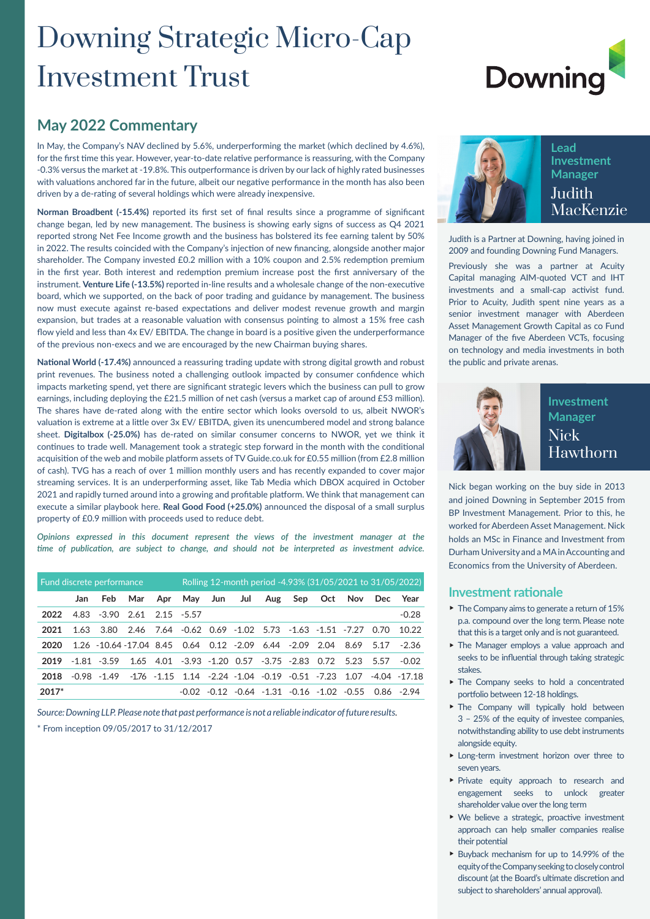## Downing Strategic Micro-Cap Investment Trust

# **Downing**

#### **May 2022 Commentary**

In May, the Company's NAV declined by 5.6%, underperforming the market (which declined by 4.6%), for the first time this year. However, year-to-date relative performance is reassuring, with the Company -0.3% versus the market at -19.8%. This outperformance is driven by our lack of highly rated businesses with valuations anchored far in the future, albeit our negative performance in the month has also been driven by a de-rating of several holdings which were already inexpensive.

**Norman Broadbent (-15.4%)** reported its first set of final results since a programme of significant change began, led by new management. The business is showing early signs of success as Q4 2021 reported strong Net Fee Income growth and the business has bolstered its fee earning talent by 50% in 2022. The results coincided with the Company's injection of new financing, alongside another major shareholder. The Company invested £0.2 million with a 10% coupon and 2.5% redemption premium in the first year. Both interest and redemption premium increase post the first anniversary of the instrument. **Venture Life (-13.5%)** reported in-line results and a wholesale change of the non-executive board, which we supported, on the back of poor trading and guidance by management. The business now must execute against re-based expectations and deliver modest revenue growth and margin expansion, but trades at a reasonable valuation with consensus pointing to almost a 15% free cash flow yield and less than 4x EV/ EBITDA. The change in board is a positive given the underperformance of the previous non-execs and we are encouraged by the new Chairman buying shares.

**National World (-17.4%)** announced a reassuring trading update with strong digital growth and robust print revenues. The business noted a challenging outlook impacted by consumer confidence which impacts marketing spend, yet there are significant strategic levers which the business can pull to grow earnings, including deploying the £21.5 million of net cash (versus a market cap of around £53 million). The shares have de-rated along with the entire sector which looks oversold to us, albeit NWOR's valuation is extreme at a little over 3x EV/ EBITDA, given its unencumbered model and strong balance sheet. **Digitalbox (-25.0%)** has de-rated on similar consumer concerns to NWOR, yet we think it continues to trade well. Management took a strategic step forward in the month with the conditional acquisition of the web and mobile platform assets of TV Guide.co.uk for £0.55 million (from £2.8 million of cash). TVG has a reach of over 1 million monthly users and has recently expanded to cover major streaming services. It is an underperforming asset, like Tab Media which DBOX acquired in October 2021 and rapidly turned around into a growing and profitable platform. We think that management can execute a similar playbook here. **Real Good Food (+25.0%)** announced the disposal of a small surplus property of £0.9 million with proceeds used to reduce debt.

*Opinions expressed in this document represent the views of the investment manager at the time of publication, are subject to change, and should not be interpreted as investment advice.*

| Fund discrete performance |      |                                                                         |                                                             |         | Rolling 12-month period -4.93% (31/05/2021 to 31/05/2022) |         |     |  |  |                                                       |  |  |                                                                                        |
|---------------------------|------|-------------------------------------------------------------------------|-------------------------------------------------------------|---------|-----------------------------------------------------------|---------|-----|--|--|-------------------------------------------------------|--|--|----------------------------------------------------------------------------------------|
|                           | Jan. | Feb                                                                     |                                                             | Mar Apr |                                                           | May Jun | Jul |  |  | Aug Sep Oct Nov Dec                                   |  |  | Year                                                                                   |
| 2022                      |      | 4.83 -3.90 2.61 2.15 -5.57                                              |                                                             |         |                                                           |         |     |  |  |                                                       |  |  | $-0.28$                                                                                |
| 2021                      | 1.63 |                                                                         | 3.80 2.46 7.64 -0.62 0.69 -1.02 5.73 -1.63 -1.51 -7.27 0.70 |         |                                                           |         |     |  |  |                                                       |  |  | 10.22                                                                                  |
| 2020                      |      | 1.26 -10.64 -17.04 8.45 0.64 0.12 -2.09 6.44 -2.09 2.04 8.69 5.17 -2.36 |                                                             |         |                                                           |         |     |  |  |                                                       |  |  |                                                                                        |
| 2019                      |      | $-1.81 - 3.59$                                                          |                                                             |         |                                                           |         |     |  |  | 1.65 4.01 -3.93 -1.20 0.57 -3.75 -2.83 0.72 5.23 5.57 |  |  | -0.02                                                                                  |
| 2018                      |      | -0.98 -1.49                                                             |                                                             |         |                                                           |         |     |  |  |                                                       |  |  | $-1.76$ $-1.15$ $1.14$ $-2.24$ $-1.04$ $-0.19$ $-0.51$ $-7.23$ $1.07$ $-4.04$ $-17.18$ |
| $2017*$                   |      |                                                                         |                                                             |         | -0.02                                                     |         |     |  |  |                                                       |  |  | $-0.12$ $-0.64$ $-1.31$ $-0.16$ $-1.02$ $-0.55$ $0.86$ $-2.94$                         |

*Source: Downing LLP. Please note that past performance is not a reliable indicator of future results.* \* From inception 09/05/2017 to 31/12/2017



**Lead Investment Manager Judith** MacKenzie

Judith is a Partner at Downing, having joined in 2009 and founding Downing Fund Managers.

Previously she was a partner at Acuity Capital managing AIM-quoted VCT and IHT investments and a small-cap activist fund. Prior to Acuity, Judith spent nine years as a senior investment manager with Aberdeen Asset Management Growth Capital as co Fund Manager of the five Aberdeen VCTs, focusing on technology and media investments in both the public and private arenas.



#### **Investment Manager** Nick Hawthorn

Nick began working on the buy side in 2013 and joined Downing in September 2015 from BP Investment Management. Prior to this, he worked for Aberdeen Asset Management. Nick holds an MSc in Finance and Investment from Durham University and a MA in Accounting and Economics from the University of Aberdeen.

#### **Investment rationale**

- $\blacktriangleright$  The Company aims to generate a return of 15% p.a. compound over the long term. Please note that this is a target only and is not guaranteed.
- $\blacktriangleright$  The Manager employs a value approach and seeks to be influential through taking strategic stakes.
- $\triangleright$  The Company seeks to hold a concentrated portfolio between 12-18 holdings.
- $\blacktriangleright$  The Company will typically hold between 3 – 25% of the equity of investee companies, notwithstanding ability to use debt instruments alongside equity.
- $\blacktriangleright$  Long-term investment horizon over three to seven years.
- Private equity approach to research and engagement seeks to unlock greater shareholder value over the long term
- $\blacktriangleright$  We believe a strategic, proactive investment approach can help smaller companies realise their potential
- ▶ Buyback mechanism for up to 14.99% of the equity of the Company seeking to closely control discount (at the Board's ultimate discretion and subject to shareholders' annual approval).